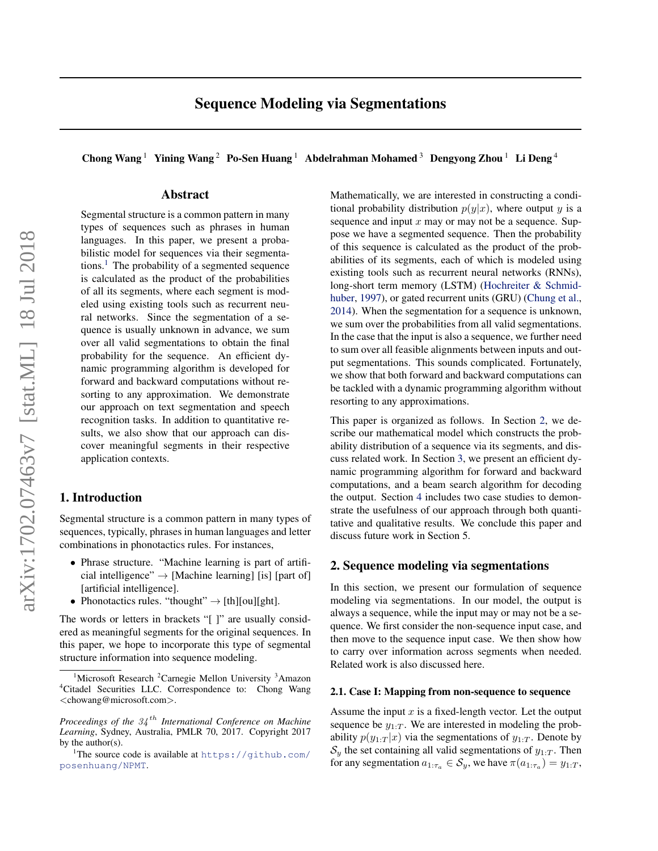<span id="page-0-0"></span>Chong Wang<sup>1</sup> Yining Wang<sup>2</sup> Po-Sen Huang<sup>1</sup> Abdelrahman Mohamed<sup>3</sup> Dengyong Zhou<sup>1</sup> Li Deng<sup>4</sup>

# Abstract

Segmental structure is a common pattern in many types of sequences such as phrases in human languages. In this paper, we present a probabilistic model for sequences via their segmentations.<sup>1</sup> The probability of a segmented sequence is calculated as the product of the probabilities of all its segments, where each segment is modeled using existing tools such as recurrent neural networks. Since the segmentation of a sequence is usually unknown in advance, we sum over all valid segmentations to obtain the final probability for the sequence. An efficient dynamic programming algorithm is developed for forward and backward computations without resorting to any approximation. We demonstrate our approach on text segmentation and speech recognition tasks. In addition to quantitative results, we also show that our approach can discover meaningful segments in their respective application contexts.

# 1. Introduction

Segmental structure is a common pattern in many types of sequences, typically, phrases in human languages and letter combinations in phonotactics rules. For instances,

- Phrase structure. "Machine learning is part of artificial intelligence"  $\rightarrow$  [Machine learning] [is] [part of] [artificial intelligence].
- Phonotactics rules. "thought"  $\rightarrow$  [th][ou][ght].

The words or letters in brackets "[ ]" are usually considered as meaningful segments for the original sequences. In this paper, we hope to incorporate this type of segmental structure information into sequence modeling.

Mathematically, we are interested in constructing a conditional probability distribution  $p(y|x)$ , where output y is a sequence and input  $x$  may or may not be a sequence. Suppose we have a segmented sequence. Then the probability of this sequence is calculated as the product of the probabilities of its segments, each of which is modeled using existing tools such as recurrent neural networks (RNNs), long-short term memory (LSTM) [\(Hochreiter & Schmid](#page-8-0)[huber,](#page-8-0) [1997\)](#page-8-0), or gated recurrent units (GRU) [\(Chung et al.,](#page-8-0) [2014\)](#page-8-0). When the segmentation for a sequence is unknown, we sum over the probabilities from all valid segmentations. In the case that the input is also a sequence, we further need to sum over all feasible alignments between inputs and output segmentations. This sounds complicated. Fortunately, we show that both forward and backward computations can be tackled with a dynamic programming algorithm without resorting to any approximations.

This paper is organized as follows. In Section 2, we describe our mathematical model which constructs the probability distribution of a sequence via its segments, and discuss related work. In Section [3,](#page-2-0) we present an efficient dynamic programming algorithm for forward and backward computations, and a beam search algorithm for decoding the output. Section [4](#page-4-0) includes two case studies to demonstrate the usefulness of our approach through both quantitative and qualitative results. We conclude this paper and discuss future work in Section 5.

# 2. Sequence modeling via segmentations

In this section, we present our formulation of sequence modeling via segmentations. In our model, the output is always a sequence, while the input may or may not be a sequence. We first consider the non-sequence input case, and then move to the sequence input case. We then show how to carry over information across segments when needed. Related work is also discussed here.

#### 2.1. Case I: Mapping from non-sequence to sequence

Assume the input  $x$  is a fixed-length vector. Let the output sequence be  $y_{1:T}$ . We are interested in modeling the probability  $p(y_{1:T} | x)$  via the segmentations of  $y_{1:T}$ . Denote by  $S_y$  the set containing all valid segmentations of  $y_{1:T}$ . Then for any segmentation  $a_{1:\tau_a} \in \mathcal{S}_y$ , we have  $\pi(a_{1:\tau_a}) = y_{1:T}$ ,

Microsoft Research <sup>2</sup>Carnegie Mellon University <sup>3</sup>Amazon <sup>4</sup>Citadel Securities LLC. Correspondence to: Chong Wang <chowang@microsoft.com>.

*Proceedings of the* 34 th *International Conference on Machine Learning*, Sydney, Australia, PMLR 70, 2017. Copyright 2017 by the author(s).

<sup>&</sup>lt;sup>1</sup>The source code is available at [https://github.com/](https://github.com/posenhuang/NPMT) [posenhuang/NPMT](https://github.com/posenhuang/NPMT).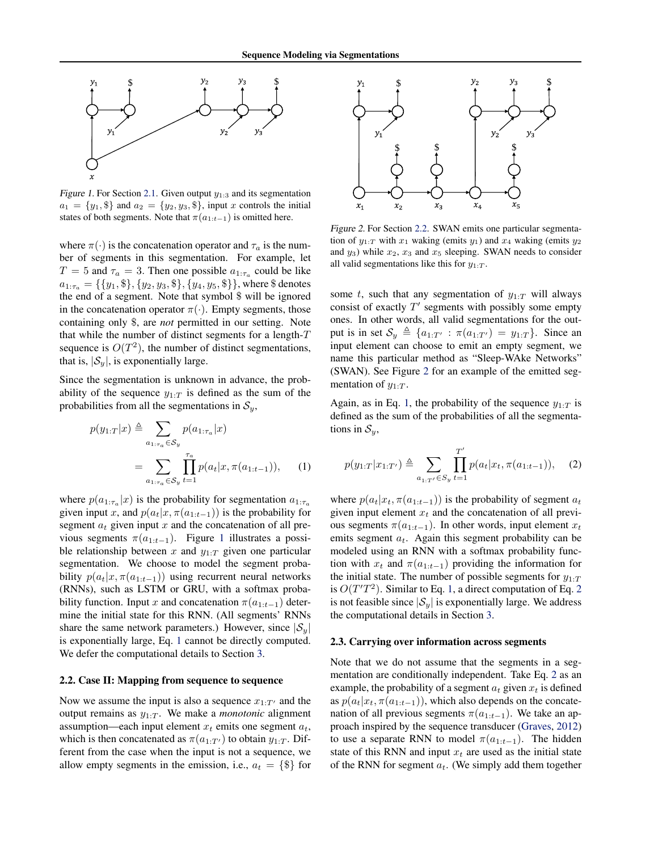<span id="page-1-0"></span>

Figure 1. For Section [2.1.](#page-0-0) Given output  $y_{1:3}$  and its segmentation  $a_1 = \{y_1, \$\}$  and  $a_2 = \{y_2, y_3, \$\}$ , input x controls the initial states of both segments. Note that  $\pi(a_{1:t-1})$  is omitted here.

where  $\pi(\cdot)$  is the concatenation operator and  $\tau_a$  is the number of segments in this segmentation. For example, let  $T = 5$  and  $\tau_a = 3$ . Then one possible  $a_{1:\tau_a}$  could be like  $a_{1:\tau_a} = \{\{y_1, \$\}, \{y_2, y_3, \$\}, \{y_4, y_5, \$\}\}\,$ , where  $\$$  denotes the end of a segment. Note that symbol \$ will be ignored in the concatenation operator  $\pi(\cdot)$ . Empty segments, those containing only \$, are *not* permitted in our setting. Note that while the number of distinct segments for a length- $T$ sequence is  $O(T^2)$ , the number of distinct segmentations, that is,  $|\mathcal{S}_y|$ , is exponentially large.

Since the segmentation is unknown in advance, the probability of the sequence  $y_{1:T}$  is defined as the sum of the probabilities from all the segmentations in  $S_y$ ,

$$
p(y_{1:T}|x) \triangleq \sum_{a_{1:\tau_a} \in S_y} p(a_{1:\tau_a}|x)
$$
  
= 
$$
\sum_{a_{1:\tau_a} \in S_y} \prod_{t=1}^{\tau_a} p(a_t|x, \pi(a_{1:t-1})),
$$
 (1)

where  $p(a_{1:\tau_a}|x)$  is the probability for segmentation  $a_{1:\tau_a}$ given input x, and  $p(a_t|x, \pi(a_{1:t-1}))$  is the probability for segment  $a_t$  given input x and the concatenation of all previous segments  $\pi(a_{1:t-1})$ . Figure 1 illustrates a possible relationship between x and  $y_{1:T}$  given one particular segmentation. We choose to model the segment probability  $p(a_t|x, \pi(a_{1:t-1}))$  using recurrent neural networks (RNNs), such as LSTM or GRU, with a softmax probability function. Input x and concatenation  $\pi(a_{1:t-1})$  determine the initial state for this RNN. (All segments' RNNs share the same network parameters.) However, since  $|\mathcal{S}_y|$ is exponentially large, Eq. 1 cannot be directly computed. We defer the computational details to Section [3.](#page-2-0)

### 2.2. Case II: Mapping from sequence to sequence

Now we assume the input is also a sequence  $x_{1:T'}$  and the output remains as  $y_{1:T}$ . We make a *monotonic* alignment assumption—each input element  $x_t$  emits one segment  $a_t$ , which is then concatenated as  $\pi(a_{1:T})$  to obtain  $y_{1:T}$ . Different from the case when the input is not a sequence, we allow empty segments in the emission, i.e.,  $a_t = \{\$\}$  for



Figure 2. For Section 2.2. SWAN emits one particular segmentation of  $y_{1:T}$  with  $x_1$  waking (emits  $y_1$ ) and  $x_4$  waking (emits  $y_2$ ) and  $y_3$ ) while  $x_2$ ,  $x_3$  and  $x_5$  sleeping. SWAN needs to consider all valid segmentations like this for  $y_{1:T}$ .

some t, such that any segmentation of  $y_{1:T}$  will always consist of exactly  $T'$  segments with possibly some empty ones. In other words, all valid segmentations for the output is in set  $\mathcal{S}_y \triangleq \{a_{1:T'} : \pi(a_{1:T'}) = y_{1:T} \}$ . Since an input element can choose to emit an empty segment, we name this particular method as "Sleep-WAke Networks" (SWAN). See Figure 2 for an example of the emitted segmentation of  $y_{1:T}$ .

Again, as in Eq. 1, the probability of the sequence  $y_{1:T}$  is defined as the sum of the probabilities of all the segmentations in  $S_y$ ,

$$
p(y_{1:T}|x_{1:T'}) \triangleq \sum_{a_{1:T'} \in S_y} \prod_{t=1}^{T'} p(a_t|x_t, \pi(a_{1:t-1})), \quad (2)
$$

where  $p(a_t|x_t, \pi(a_{1:t-1}))$  is the probability of segment  $a_t$ given input element  $x_t$  and the concatenation of all previous segments  $\pi(a_{1:t-1})$ . In other words, input element  $x_t$ emits segment  $a_t$ . Again this segment probability can be modeled using an RNN with a softmax probability function with  $x_t$  and  $\pi(a_{1:t-1})$  providing the information for the initial state. The number of possible segments for  $y_{1:T}$ is  $O(T'T^2)$ . Similar to Eq. 1, a direct computation of Eq. 2 is not feasible since  $|S_{y}|$  is exponentially large. We address the computational details in Section [3.](#page-2-0)

### 2.3. Carrying over information across segments

Note that we do not assume that the segments in a segmentation are conditionally independent. Take Eq. 2 as an example, the probability of a segment  $a_t$  given  $x_t$  is defined as  $p(a_t|x_t, \pi(a_{1:t-1}))$ , which also depends on the concatenation of all previous segments  $\pi(a_{1:t-1})$ . We take an approach inspired by the sequence transducer [\(Graves,](#page-8-0) [2012\)](#page-8-0) to use a separate RNN to model  $\pi(a_{1:t-1})$ . The hidden state of this RNN and input  $x_t$  are used as the initial state of the RNN for segment  $a_t$ . (We simply add them together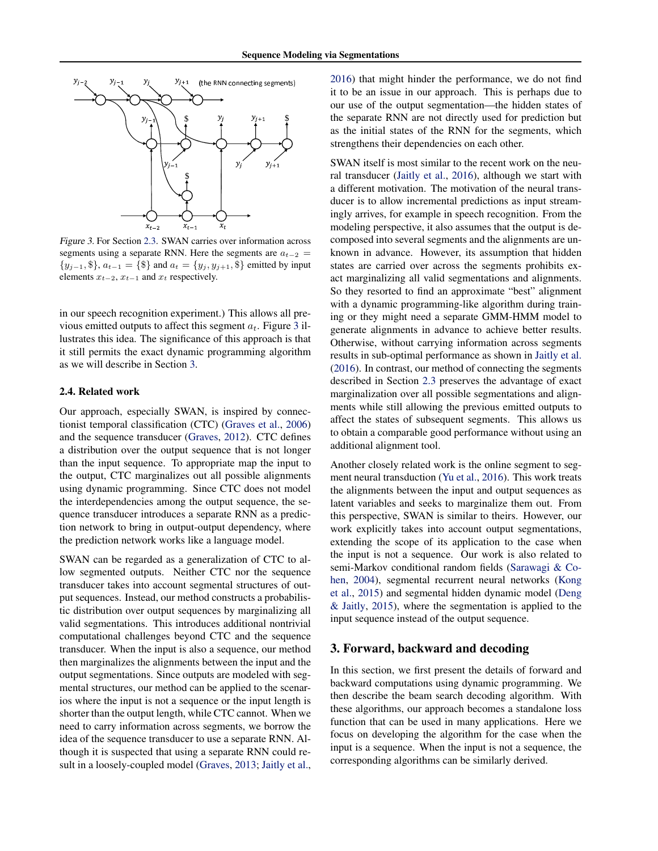<span id="page-2-0"></span>

Figure 3. For Section [2.3.](#page-1-0) SWAN carries over information across segments using a separate RNN. Here the segments are  $a_{t-2}$  =  $\{y_{j-1}, \$\}, a_{t-1} = \{\$\}$  and  $a_t = \{y_j, y_{j+1}, \$\}$  emitted by input elements  $x_{t-2}$ ,  $x_{t-1}$  and  $x_t$  respectively.

in our speech recognition experiment.) This allows all previous emitted outputs to affect this segment  $a_t$ . Figure 3 illustrates this idea. The significance of this approach is that it still permits the exact dynamic programming algorithm as we will describe in Section 3.

## 2.4. Related work

Our approach, especially SWAN, is inspired by connectionist temporal classification (CTC) [\(Graves et al.,](#page-8-0) [2006\)](#page-8-0) and the sequence transducer [\(Graves,](#page-8-0) [2012\)](#page-8-0). CTC defines a distribution over the output sequence that is not longer than the input sequence. To appropriate map the input to the output, CTC marginalizes out all possible alignments using dynamic programming. Since CTC does not model the interdependencies among the output sequence, the sequence transducer introduces a separate RNN as a prediction network to bring in output-output dependency, where the prediction network works like a language model.

SWAN can be regarded as a generalization of CTC to allow segmented outputs. Neither CTC nor the sequence transducer takes into account segmental structures of output sequences. Instead, our method constructs a probabilistic distribution over output sequences by marginalizing all valid segmentations. This introduces additional nontrivial computational challenges beyond CTC and the sequence transducer. When the input is also a sequence, our method then marginalizes the alignments between the input and the output segmentations. Since outputs are modeled with segmental structures, our method can be applied to the scenarios where the input is not a sequence or the input length is shorter than the output length, while CTC cannot. When we need to carry information across segments, we borrow the idea of the sequence transducer to use a separate RNN. Although it is suspected that using a separate RNN could result in a loosely-coupled model [\(Graves,](#page-8-0) [2013;](#page-8-0) [Jaitly et al.,](#page-8-0)

[2016\)](#page-8-0) that might hinder the performance, we do not find it to be an issue in our approach. This is perhaps due to our use of the output segmentation—the hidden states of the separate RNN are not directly used for prediction but as the initial states of the RNN for the segments, which strengthens their dependencies on each other.

SWAN itself is most similar to the recent work on the neural transducer [\(Jaitly et al.,](#page-8-0) [2016\)](#page-8-0), although we start with a different motivation. The motivation of the neural transducer is to allow incremental predictions as input streamingly arrives, for example in speech recognition. From the modeling perspective, it also assumes that the output is decomposed into several segments and the alignments are unknown in advance. However, its assumption that hidden states are carried over across the segments prohibits exact marginalizing all valid segmentations and alignments. So they resorted to find an approximate "best" alignment with a dynamic programming-like algorithm during training or they might need a separate GMM-HMM model to generate alignments in advance to achieve better results. Otherwise, without carrying information across segments results in sub-optimal performance as shown in [Jaitly et al.](#page-8-0) [\(2016\)](#page-8-0). In contrast, our method of connecting the segments described in Section [2.3](#page-1-0) preserves the advantage of exact marginalization over all possible segmentations and alignments while still allowing the previous emitted outputs to affect the states of subsequent segments. This allows us to obtain a comparable good performance without using an additional alignment tool.

Another closely related work is the online segment to segment neural transduction [\(Yu et al.,](#page-9-0) [2016\)](#page-9-0). This work treats the alignments between the input and output sequences as latent variables and seeks to marginalize them out. From this perspective, SWAN is similar to theirs. However, our work explicitly takes into account output segmentations, extending the scope of its application to the case when the input is not a sequence. Our work is also related to semi-Markov conditional random fields [\(Sarawagi & Co](#page-8-0)[hen,](#page-8-0) [2004\)](#page-8-0), segmental recurrent neural networks [\(Kong](#page-8-0) [et al.,](#page-8-0) [2015\)](#page-8-0) and segmental hidden dynamic model [\(Deng](#page-8-0) [& Jaitly,](#page-8-0) [2015\)](#page-8-0), where the segmentation is applied to the input sequence instead of the output sequence.

## 3. Forward, backward and decoding

In this section, we first present the details of forward and backward computations using dynamic programming. We then describe the beam search decoding algorithm. With these algorithms, our approach becomes a standalone loss function that can be used in many applications. Here we focus on developing the algorithm for the case when the input is a sequence. When the input is not a sequence, the corresponding algorithms can be similarly derived.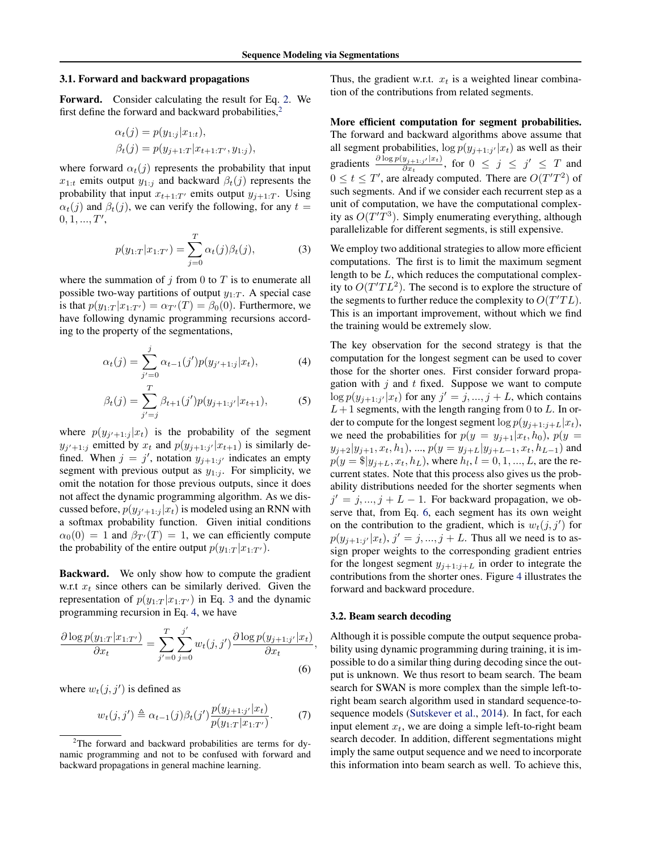#### <span id="page-3-0"></span>3.1. Forward and backward propagations

Forward. Consider calculating the result for Eq. [2.](#page-1-0) We first define the forward and backward probabilities, $<sup>2</sup>$ </sup>

$$
\alpha_t(j) = p(y_{1:j}|x_{1:t}), \beta_t(j) = p(y_{j+1:T}|x_{t+1:T'}, y_{1:j}),
$$

where forward  $\alpha_t(j)$  represents the probability that input  $x_{1:t}$  emits output  $y_{1:t}$  and backward  $\beta_t(j)$  represents the probability that input  $x_{t+1:T'}$  emits output  $y_{j+1:T}$ . Using  $\alpha_t(j)$  and  $\beta_t(j)$ , we can verify the following, for any  $t =$  $0, 1, ..., T',$ 

$$
p(y_{1:T}|x_{1:T'}) = \sum_{j=0}^{T} \alpha_t(j)\beta_t(j),
$$
 (3)

where the summation of j from 0 to  $T$  is to enumerate all possible two-way partitions of output  $y_{1:T}$ . A special case is that  $p(y_{1:T} | x_{1:T'}) = \alpha_{T'}(T) = \beta_0(0)$ . Furthermore, we have following dynamic programming recursions according to the property of the segmentations,

$$
\alpha_t(j) = \sum_{j'=0}^j \alpha_{t-1}(j') p(y_{j'+1:j}|x_t), \tag{4}
$$

$$
\beta_t(j) = \sum_{j'=j}^{T} \beta_{t+1}(j') p(y_{j+1:j'} | x_{t+1}), \tag{5}
$$

where  $p(y_{j'+1:j}|x_t)$  is the probability of the segment  $y_{j'+1:j}$  emitted by  $x_t$  and  $p(y_{j+1:j'}|x_{t+1})$  is similarly defined. When  $j = j'$ , notation  $y_{j+1:j'}$  indicates an empty segment with previous output as  $y_{1:j}$ . For simplicity, we omit the notation for those previous outputs, since it does not affect the dynamic programming algorithm. As we discussed before,  $p(y_{j'+1:j}|x_t)$  is modeled using an RNN with a softmax probability function. Given initial conditions  $\alpha_0(0) = 1$  and  $\beta_{T'}(T) = 1$ , we can efficiently compute the probability of the entire output  $p(y_{1:T} | x_{1:T'})$ .

Backward. We only show how to compute the gradient w.r.t  $x_t$  since others can be similarly derived. Given the representation of  $p(y_{1:T} | x_{1:T})$  in Eq. 3 and the dynamic programming recursion in Eq. 4, we have

$$
\frac{\partial \log p(y_{1:T} | x_{1:T'})}{\partial x_t} = \sum_{j'=0}^T \sum_{j=0}^{j'} w_t(j,j') \frac{\partial \log p(y_{j+1:j'} | x_t)}{\partial x_t},\tag{6}
$$

where  $w_t(j, j')$  is defined as

$$
w_t(j,j') \triangleq \alpha_{t-1}(j)\beta_t(j')\frac{p(y_{j+1:j'}|x_t)}{p(y_{1:T}|x_{1:T'})}.
$$
 (7)

Thus, the gradient w.r.t.  $x_t$  is a weighted linear combination of the contributions from related segments.

More efficient computation for segment probabilities. The forward and backward algorithms above assume that all segment probabilities,  $\log p(y_{j+1:j'}|x_t)$  as well as their gradients  $\frac{\partial \log p(y_{j+1:j'}|x_t)}{\partial x_i}$  $\frac{y_{j+1:j'}|x_t)}{\partial x_t}$ , for  $0 \leq j \leq j' \leq T$  and  $0 \le t \le T'$ , are already computed. There are  $O(T'T^2)$  of such segments. And if we consider each recurrent step as a unit of computation, we have the computational complexity as  $O(T'T^3)$ . Simply enumerating everything, although parallelizable for different segments, is still expensive.

We employ two additional strategies to allow more efficient computations. The first is to limit the maximum segment length to be L, which reduces the computational complexity to  $O(T'TL<sup>2</sup>)$ . The second is to explore the structure of the segments to further reduce the complexity to  $O(T'TL)$ . This is an important improvement, without which we find the training would be extremely slow.

The key observation for the second strategy is that the computation for the longest segment can be used to cover those for the shorter ones. First consider forward propagation with  $j$  and  $t$  fixed. Suppose we want to compute  $\log p(y_{j+1:j'}|x_t)$  for any  $j' = j, ..., j + L$ , which contains  $L+1$  segments, with the length ranging from 0 to L. In order to compute for the longest segment  $\log p(y_{j+1:j+L}|x_t)$ , we need the probabilities for  $p(y = y_{j+1}|x_t, h_0)$ ,  $p(y =$  $y_{j+2}|y_{j+1}, x_t, h_1$ , ...,  $p(y = y_{j+L}|y_{j+L-1}, x_t, h_{L-1})$  and  $p(y = \$|y_{j+L}, x_t, h_L)$ , where  $h_l, l = 0, 1, ..., L$ , are the recurrent states. Note that this process also gives us the probability distributions needed for the shorter segments when  $j' = j, ..., j + L - 1$ . For backward propagation, we observe that, from Eq. 6, each segment has its own weight on the contribution to the gradient, which is  $w_t(j, j')$  for  $p(y_{j+1:j'}|x_t), j' = j, ..., j + L$ . Thus all we need is to assign proper weights to the corresponding gradient entries for the longest segment  $y_{j+1:j+L}$  in order to integrate the contributions from the shorter ones. Figure [4](#page-4-0) illustrates the forward and backward procedure.

#### 3.2. Beam search decoding

Although it is possible compute the output sequence probability using dynamic programming during training, it is impossible to do a similar thing during decoding since the output is unknown. We thus resort to beam search. The beam search for SWAN is more complex than the simple left-toright beam search algorithm used in standard sequence-tosequence models [\(Sutskever et al.,](#page-9-0) [2014\)](#page-9-0). In fact, for each input element  $x_t$ , we are doing a simple left-to-right beam search decoder. In addition, different segmentations might imply the same output sequence and we need to incorporate this information into beam search as well. To achieve this,

 $2$ The forward and backward probabilities are terms for dynamic programming and not to be confused with forward and backward propagations in general machine learning.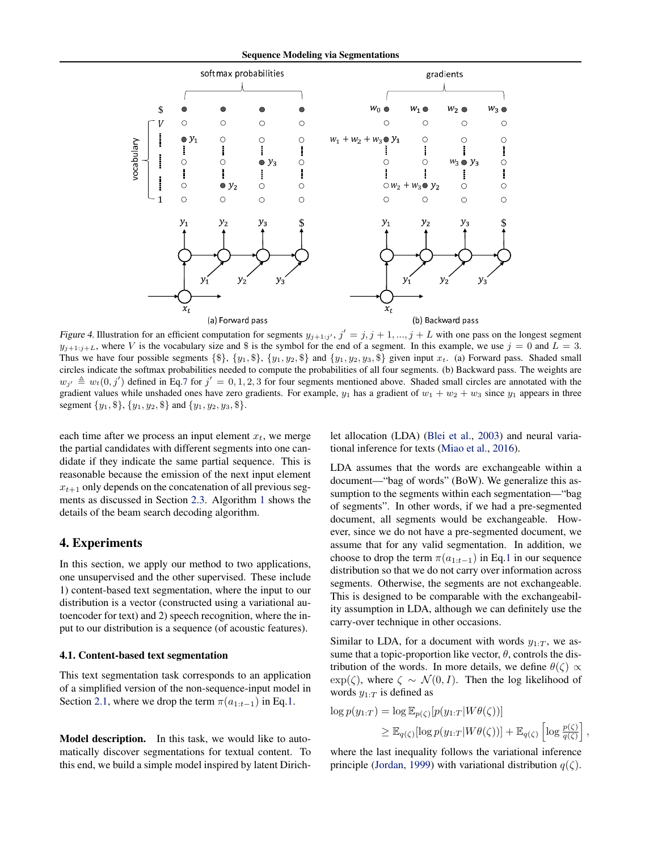<span id="page-4-0"></span>

Figure 4. Illustration for an efficient computation for segments  $y_{j+1:j'}$ ,  $j' = j$ ,  $j + 1, ..., j + L$  with one pass on the longest segment  $y_{j+1:j+L}$ , where V is the vocabulary size and \$ is the symbol for the end of a segment. In this example, we use  $j = 0$  and  $L = 3$ . Thus we have four possible segments  $\{\$\}, \{y_1, \$\}, \{y_1, y_2, \$\}$  and  $\{y_1, y_2, y_3, \$\}$  given input  $x_t$ . (a) Forward pass. Shaded small circles indicate the softmax probabilities needed to compute the probabilities of all four segments. (b) Backward pass. The weights are  $w_{j'} \triangleq w_t(0, j')$  defined in Eq[.7](#page-3-0) for  $j' = 0, 1, 2, 3$  for four segments mentioned above. Shaded small circles are annotated with the gradient values while unshaded ones have zero gradients. For example,  $y_1$  has a gradient of  $w_1 + w_2 + w_3$  since  $y_1$  appears in three segment  $\{y_1, \$\}, \{y_1, y_2, \$\}$  and  $\{y_1, y_2, y_3, \$\}.$ 

each time after we process an input element  $x_t$ , we merge the partial candidates with different segments into one candidate if they indicate the same partial sequence. This is reasonable because the emission of the next input element  $x_{t+1}$  only depends on the concatenation of all previous segments as discussed in Section [2.3.](#page-1-0) Algorithm [1](#page-5-0) shows the details of the beam search decoding algorithm.

# 4. Experiments

In this section, we apply our method to two applications, one unsupervised and the other supervised. These include 1) content-based text segmentation, where the input to our distribution is a vector (constructed using a variational autoencoder for text) and 2) speech recognition, where the input to our distribution is a sequence (of acoustic features).

## 4.1. Content-based text segmentation

This text segmentation task corresponds to an application of a simplified version of the non-sequence-input model in Section [2.1,](#page-0-0) where we drop the term  $\pi(a_{1:t-1})$  in Eq[.1.](#page-1-0)

Model description. In this task, we would like to automatically discover segmentations for textual content. To this end, we build a simple model inspired by latent Dirichlet allocation (LDA) [\(Blei et al.,](#page-8-0) [2003\)](#page-8-0) and neural variational inference for texts [\(Miao et al.,](#page-8-0) [2016\)](#page-8-0).

LDA assumes that the words are exchangeable within a document—"bag of words" (BoW). We generalize this assumption to the segments within each segmentation—"bag of segments". In other words, if we had a pre-segmented document, all segments would be exchangeable. However, since we do not have a pre-segmented document, we assume that for any valid segmentation. In addition, we choose to drop the term  $\pi(a_{1:t-1})$  in Eq[.1](#page-1-0) in our sequence distribution so that we do not carry over information across segments. Otherwise, the segments are not exchangeable. This is designed to be comparable with the exchangeability assumption in LDA, although we can definitely use the carry-over technique in other occasions.

Similar to LDA, for a document with words  $y_{1:T}$ , we assume that a topic-proportion like vector,  $\theta$ , controls the distribution of the words. In more details, we define  $\theta(\zeta) \propto$  $\exp(\zeta)$ , where  $\zeta \sim \mathcal{N}(0, I)$ . Then the log likelihood of words  $y_{1:T}$  is defined as

$$
\log p(y_{1:T}) = \log \mathbb{E}_{p(\zeta)}[p(y_{1:T}|W\theta(\zeta))]
$$
  
\n
$$
\geq \mathbb{E}_{q(\zeta)}[\log p(y_{1:T}|W\theta(\zeta))] + \mathbb{E}_{q(\zeta)}\left[\log \frac{p(\zeta)}{q(\zeta)}\right]
$$

,

where the last inequality follows the variational inference principle [\(Jordan,](#page-8-0) [1999\)](#page-8-0) with variational distribution  $q(\zeta)$ .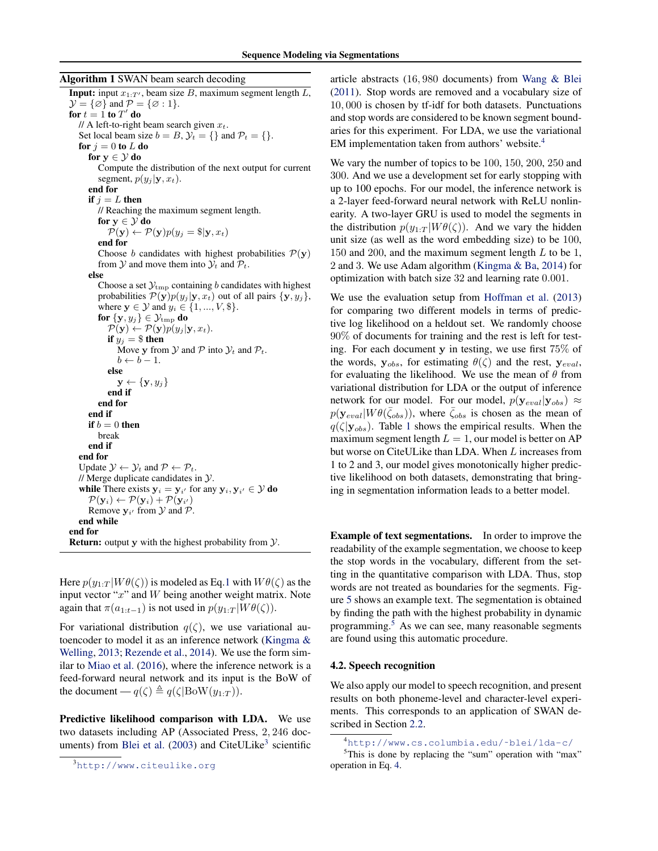<span id="page-5-0"></span>Algorithm 1 SWAN beam search decoding

**Input:** input  $x_{1:T'}$ , beam size B, maximum segment length L,  $\mathcal{Y} = {\emptyset}$  and  $\mathcal{P} = {\emptyset : 1}.$ for  $t = 1$  to  $T'$  do // A left-to-right beam search given  $x_t$ . Set local beam size  $b = B$ ,  $\mathcal{Y}_t = \{\}$  and  $\mathcal{P}_t = \{\}.$ for  $j=0$  to  $L$  do for  $v \in \mathcal{V}$  do Compute the distribution of the next output for current segment,  $p(y_i | \mathbf{y}, x_t)$ . end for if  $j = L$  then // Reaching the maximum segment length. for  $y \in \mathcal{Y}$  do  $\mathcal{P}(\mathbf{y}) \leftarrow \mathcal{P}(\mathbf{y})p(y_j = \$|\mathbf{y}, x_t)$ end for Choose *b* candidates with highest probabilities  $P(y)$ from  $\mathcal Y$  and move them into  $\mathcal Y_t$  and  $\mathcal P_t$ . else Choose a set  $\mathcal{Y}_{\text{tmp}}$  containing b candidates with highest probabilities  $\mathcal{P}(\mathbf{y})p(y_j|\mathbf{y}, x_t)$  out of all pairs  $\{\mathbf{y}, y_j\},$ where  $y \in \mathcal{Y}$  and  $y_i \in \{1, ..., V, \$\}.$ for  $\{{\mathbf y}, y_j\} \in {\mathcal Y}_{\rm tmp}$  do  $\mathcal{P}(\mathbf{y}) \leftarrow \mathcal{P}(\mathbf{y})p(y_j|\mathbf{y}, x_t).$ if  $y_i = $$  then Move y from  $\mathcal Y$  and  $\mathcal P$  into  $\mathcal Y_t$  and  $\mathcal P_t$ .  $b \leftarrow b - 1.$ else  $\mathbf{y} \leftarrow {\{\mathbf{y}, y_j\}}$ end if end for end if if  $b = 0$  then break end if end for Update  $\mathcal{Y} \leftarrow \mathcal{Y}_t$  and  $\mathcal{P} \leftarrow \mathcal{P}_t$ . // Merge duplicate candidates in  $\mathcal{Y}$ . while There exists  $y_i = y_{i'}$  for any  $y_i, y_{i'} \in \mathcal{Y}$  do  $\mathcal{P}(\mathbf{y}_i) \leftarrow \mathcal{P}(\mathbf{y}_i) + \mathcal{P}(\mathbf{y}_{i'})$ Remove  $y_{i'}$  from  $\mathcal{Y}$  and  $\mathcal{P}$ . end while end for

**Return:** output y with the highest probability from  $\mathcal{Y}$ .

Here  $p(y_{1:T} | W\theta(\zeta))$  is modeled as Eq[.1](#page-1-0) with  $W\theta(\zeta)$  as the input vector " $x$ " and  $W$  being another weight matrix. Note again that  $\pi(a_{1:t-1})$  is not used in  $p(y_{1:T} | W\theta(\zeta))$ .

For variational distribution  $q(\zeta)$ , we use variational autoencoder to model it as an inference network [\(Kingma &](#page-8-0) [Welling,](#page-8-0) [2013;](#page-8-0) [Rezende et al.,](#page-8-0) [2014\)](#page-8-0). We use the form similar to [Miao et al.](#page-8-0) [\(2016\)](#page-8-0), where the inference network is a feed-forward neural network and its input is the BoW of the document —  $q(\zeta) \triangleq q(\zeta|\text{BoW}(y_{1:T}))$ .

Predictive likelihood comparison with LDA. We use two datasets including AP (Associated Press, 2, 246 doc-uments) from [Blei et al.](#page-8-0) [\(2003\)](#page-8-0) and CiteULike<sup>3</sup> scientific article abstracts (16, 980 documents) from [Wang & Blei](#page-9-0) [\(2011\)](#page-9-0). Stop words are removed and a vocabulary size of 10, 000 is chosen by tf-idf for both datasets. Punctuations and stop words are considered to be known segment boundaries for this experiment. For LDA, we use the variational EM implementation taken from authors' website.<sup>4</sup>

We vary the number of topics to be 100, 150, 200, 250 and 300. And we use a development set for early stopping with up to 100 epochs. For our model, the inference network is a 2-layer feed-forward neural network with ReLU nonlinearity. A two-layer GRU is used to model the segments in the distribution  $p(y_{1:T} | W\theta(\zeta))$ . And we vary the hidden unit size (as well as the word embedding size) to be 100, 150 and 200, and the maximum segment length  $L$  to be 1, 2 and 3. We use Adam algorithm [\(Kingma & Ba,](#page-8-0) [2014\)](#page-8-0) for optimization with batch size 32 and learning rate 0.001.

We use the evaluation setup from [Hoffman et al.](#page-8-0) [\(2013\)](#page-8-0) for comparing two different models in terms of predictive log likelihood on a heldout set. We randomly choose 90% of documents for training and the rest is left for testing. For each document y in testing, we use first 75% of the words,  $y_{obs}$ , for estimating  $\theta(\zeta)$  and the rest,  $y_{eval}$ , for evaluating the likelihood. We use the mean of  $\theta$  from variational distribution for LDA or the output of inference network for our model. For our model,  $p(\mathbf{y}_{eval}|\mathbf{y}_{obs}) \approx$  $p(\mathbf{y}_{eval}| W \theta(\bar{\zeta}_{obs}))$ , where  $\bar{\zeta}_{obs}$  is chosen as the mean of  $q(\zeta|\mathbf{y}_{obs})$ . Table [1](#page-6-0) shows the empirical results. When the maximum segment length  $L = 1$ , our model is better on AP but worse on CiteULike than LDA. When L increases from 1 to 2 and 3, our model gives monotonically higher predictive likelihood on both datasets, demonstrating that bringing in segmentation information leads to a better model.

Example of text segmentations. In order to improve the readability of the example segmentation, we choose to keep the stop words in the vocabulary, different from the setting in the quantitative comparison with LDA. Thus, stop words are not treated as boundaries for the segments. Figure [5](#page-6-0) shows an example text. The segmentation is obtained by finding the path with the highest probability in dynamic programming.<sup>5</sup> As we can see, many reasonable segments are found using this automatic procedure.

#### 4.2. Speech recognition

We also apply our model to speech recognition, and present results on both phoneme-level and character-level experiments. This corresponds to an application of SWAN described in Section [2.2.](#page-1-0)

<sup>3</sup><http://www.citeulike.org>

<sup>4</sup>[http://www.cs.columbia.edu/˜blei/lda-c/](http://www.cs.columbia.edu/~blei/lda-c/)

 $5$ This is done by replacing the "sum" operation with "max" operation in Eq. [4.](#page-3-0)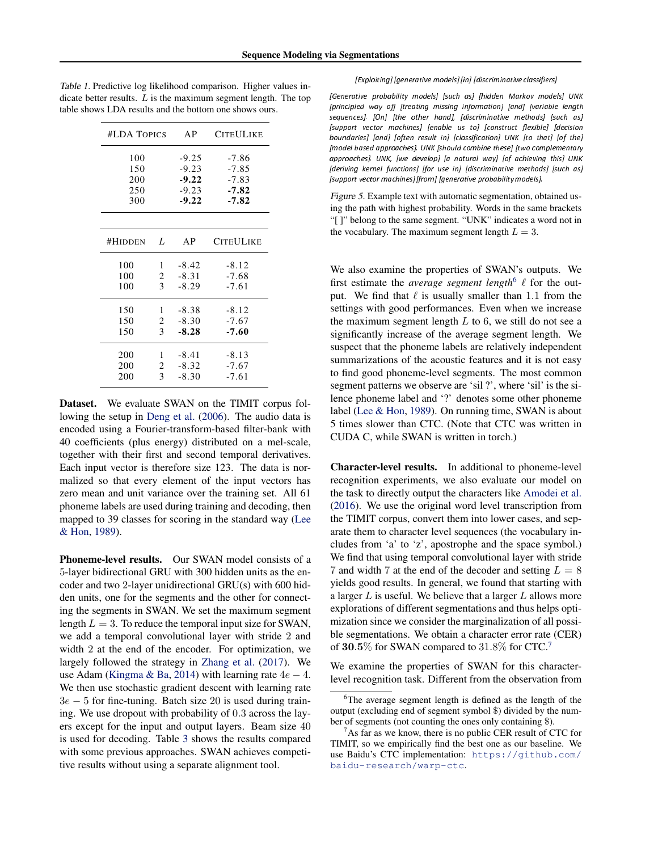| #LDA TOPICS | AP                    | <b>CITEULIKE</b>                                    |
|-------------|-----------------------|-----------------------------------------------------|
|             | $-9.25$               | -7.86                                               |
|             | $-9.23$               | $-7.85$                                             |
|             | $-9.22$               | $-7.83$                                             |
|             | $-9.23$               | $-7.82$                                             |
|             | $-9.22$               | $-7.82$                                             |
|             |                       |                                                     |
| L           | AP                    | <b>CITEULIKE</b>                                    |
| 1           | $-8.42$               | $-8.12$                                             |
| 2           | $-8.31$               | $-7.68$                                             |
| 3           | $-8.29$               | $-7.61$                                             |
|             |                       | $-8.12$                                             |
|             |                       | $-7.67$                                             |
| 3           | $-8.28$               | $-7.60$                                             |
|             |                       | $-8.13$                                             |
|             |                       | $-7.67$                                             |
|             |                       | $-7.61$                                             |
|             | 1<br>2<br>1<br>2<br>3 | $-8.38$<br>$-8.30$<br>$-8.41$<br>$-8.32$<br>$-8.30$ |

<span id="page-6-0"></span>Table 1. Predictive log likelihood comparison. Higher values indicate better results.  $L$  is the maximum segment length. The top table shows LDA results and the bottom one shows ours.

Dataset. We evaluate SWAN on the TIMIT corpus following the setup in [Deng et al.](#page-8-0) [\(2006\)](#page-8-0). The audio data is encoded using a Fourier-transform-based filter-bank with 40 coefficients (plus energy) distributed on a mel-scale, together with their first and second temporal derivatives. Each input vector is therefore size 123. The data is normalized so that every element of the input vectors has zero mean and unit variance over the training set. All 61 phoneme labels are used during training and decoding, then mapped to 39 classes for scoring in the standard way [\(Lee](#page-8-0) [& Hon,](#page-8-0) [1989\)](#page-8-0).

Phoneme-level results. Our SWAN model consists of a 5-layer bidirectional GRU with 300 hidden units as the encoder and two 2-layer unidirectional GRU(s) with 600 hidden units, one for the segments and the other for connecting the segments in SWAN. We set the maximum segment length  $L = 3$ . To reduce the temporal input size for SWAN, we add a temporal convolutional layer with stride 2 and width 2 at the end of the encoder. For optimization, we largely followed the strategy in [Zhang et al.](#page-9-0) [\(2017\)](#page-9-0). We use Adam [\(Kingma & Ba,](#page-8-0) [2014\)](#page-8-0) with learning rate  $4e - 4$ . We then use stochastic gradient descent with learning rate  $3e - 5$  for fine-tuning. Batch size 20 is used during training. We use dropout with probability of 0.3 across the layers except for the input and output layers. Beam size 40 is used for decoding. Table [3](#page-7-0) shows the results compared with some previous approaches. SWAN achieves competitive results without using a separate alignment tool.

#### [Exploitinal laenerative models] [in] [discriminative classifiers]

[Generative probability models] [such as] [hidden Markov models] UNK lprincipled way ofl Itreating missing informationl landl Ivariable length sequences]. [On] [the other hand], [discriminative methods] [such as] [support vector machines] [enable us to] [construct flexible] [decision boundaries] [and] [often result in] [classification] UNK [to that] [of the] [model based approaches]. UNK [should combine these] [two complementary approaches). UNK. Iwe develop) Ia natural way) Iof achievina this) UNK Ideriving kernel functionsl Ifor use inl Idiscriminative methodsl Isuch asl Isupport vector machines] [from] [generative probability models].

Figure 5. Example text with automatic segmentation, obtained using the path with highest probability. Words in the same brackets "[ ]" belong to the same segment. "UNK" indicates a word not in the vocabulary. The maximum segment length  $L = 3$ .

We also examine the properties of SWAN's outputs. We first estimate the *average segment length*<sup>6</sup>  $\ell$  for the output. We find that  $\ell$  is usually smaller than 1.1 from the settings with good performances. Even when we increase the maximum segment length  $L$  to 6, we still do not see a significantly increase of the average segment length. We suspect that the phoneme labels are relatively independent summarizations of the acoustic features and it is not easy to find good phoneme-level segments. The most common segment patterns we observe are 'sil ?', where 'sil' is the silence phoneme label and '?' denotes some other phoneme label [\(Lee & Hon,](#page-8-0) [1989\)](#page-8-0). On running time, SWAN is about 5 times slower than CTC. (Note that CTC was written in CUDA C, while SWAN is written in torch.)

Character-level results. In additional to phoneme-level recognition experiments, we also evaluate our model on the task to directly output the characters like [Amodei et al.](#page-8-0) [\(2016\)](#page-8-0). We use the original word level transcription from the TIMIT corpus, convert them into lower cases, and separate them to character level sequences (the vocabulary includes from 'a' to 'z', apostrophe and the space symbol.) We find that using temporal convolutional layer with stride 7 and width 7 at the end of the decoder and setting  $L = 8$ yields good results. In general, we found that starting with a larger  $L$  is useful. We believe that a larger  $L$  allows more explorations of different segmentations and thus helps optimization since we consider the marginalization of all possible segmentations. We obtain a character error rate (CER) of  $30.5\%$  for SWAN compared to  $31.8\%$  for CTC.<sup>7</sup>

We examine the properties of SWAN for this characterlevel recognition task. Different from the observation from

<sup>&</sup>lt;sup>6</sup>The average segment length is defined as the length of the output (excluding end of segment symbol \$) divided by the number of segments (not counting the ones only containing \$).

As far as we know, there is no public CER result of CTC for TIMIT, so we empirically find the best one as our baseline. We use Baidu's CTC implementation: [https://github.com/](https://github.com/baidu-research/warp-ctc) [baidu-research/warp-ctc](https://github.com/baidu-research/warp-ctc).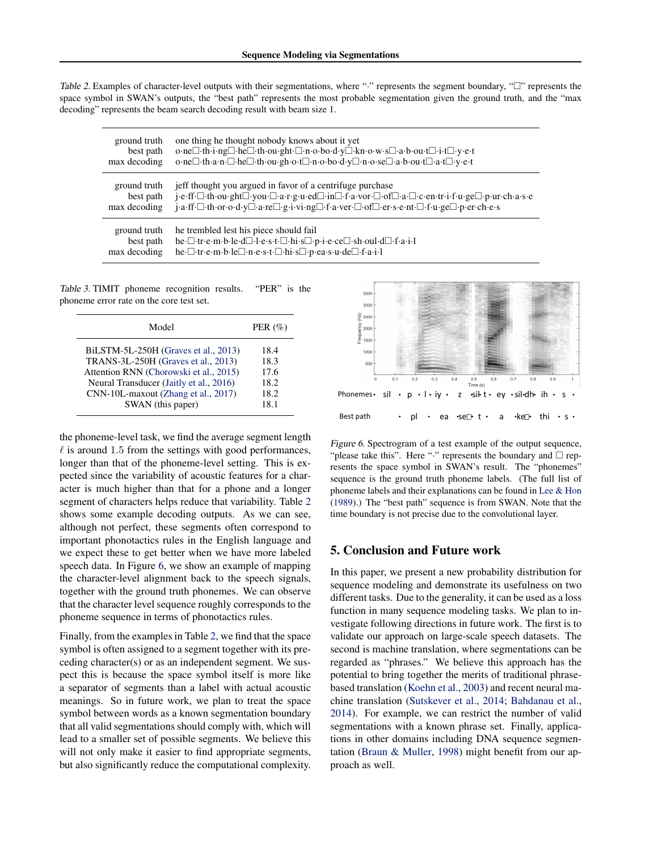<span id="page-7-0"></span>Table 2. Examples of character-level outputs with their segmentations, where ":" represents the segment boundary, " $\square$ " represents the space symbol in SWAN's outputs, the "best path" represents the most probable segmentation given the ground truth, and the "max decoding" represents the beam search decoding result with beam size 1.

| ground truth | one thing he thought nobody knows about it yet                                                                            |
|--------------|---------------------------------------------------------------------------------------------------------------------------|
| best path    | o·ne□·th·i·ng□·he□·th·ou·ght·□·n·o·bo·d·y□·kn·o·w·s□·a·b·ou·t□·i·t□·y·e·t                                                 |
| max decoding | o·ne□·th·a·n·□·he□·th·ou·gh·o·t□·n·o·bo·d·y□·n·o·se□·a·b·ou·t□·a·t□·y·e·t                                                 |
| ground truth | jeff thought you argued in favor of a centrifuge purchase                                                                 |
| best path    | jeff. [ th ou ght ] you [ a r g u ed ] in [ f a vor [ of ] a . [ c en tr i f u ge ] p ur ch a s e                         |
| max decoding | j.a.ff. [ th.or.o.d.y [ d. a. re ] g.i.vi.ng [ ].f.a.ver [ ].of [ ].er.s.e.nt [ ].f.u.ge [ ].p.er.ch.e.s                  |
| ground truth | he trembled lest his piece should fail                                                                                    |
| best path    | he - tre m b - le - d - l - e - s - t - hi - s - p - i - e - ce - sh - oul - d - f - a - i - l                            |
| max decoding | he - I - tr - e - m - b - le $\Box$ - n - e - s - t - $\Box$ - hi - s $\Box$ - p - ea - s - u - de $\Box$ - f - a - i - l |

Table 3. TIMIT phoneme recognition results. "PER" is the phoneme error rate on the core test set.

| Model                                      | PER $(\% )$ |
|--------------------------------------------|-------------|
| BiLSTM-5L-250H (Graves et al., 2013)       | 18.4        |
| <b>TRANS-3L-250H</b> (Graves et al., 2013) | 18.3        |
| Attention RNN (Chorowski et al., 2015)     | 17.6        |
| Neural Transducer (Jaitly et al., 2016)    | 18.2        |
| CNN-10L-maxout (Zhang et al., 2017)        | 18.2        |
| SWAN (this paper)                          | 18.1        |

the phoneme-level task, we find the average segment length  $\ell$  is around 1.5 from the settings with good performances, longer than that of the phoneme-level setting. This is expected since the variability of acoustic features for a character is much higher than that for a phone and a longer segment of characters helps reduce that variability. Table 2 shows some example decoding outputs. As we can see, although not perfect, these segments often correspond to important phonotactics rules in the English language and we expect these to get better when we have more labeled speech data. In Figure 6, we show an example of mapping the character-level alignment back to the speech signals, together with the ground truth phonemes. We can observe that the character level sequence roughly corresponds to the phoneme sequence in terms of phonotactics rules.

Finally, from the examples in Table 2, we find that the space symbol is often assigned to a segment together with its preceding character(s) or as an independent segment. We suspect this is because the space symbol itself is more like a separator of segments than a label with actual acoustic meanings. So in future work, we plan to treat the space symbol between words as a known segmentation boundary that all valid segmentations should comply with, which will lead to a smaller set of possible segments. We believe this will not only make it easier to find appropriate segments, but also significantly reduce the computational complexity.



Figure 6. Spectrogram of a test example of the output sequence, "please take this". Here " $\cdot$ " represents the boundary and  $\Box$  represents the space symbol in SWAN's result. The "phonemes" sequence is the ground truth phoneme labels. (The full list of phoneme labels and their explanations can be found in [Lee & Hon](#page-8-0) [\(1989\)](#page-8-0).) The "best path" sequence is from SWAN. Note that the time boundary is not precise due to the convolutional layer.

# 5. Conclusion and Future work

In this paper, we present a new probability distribution for sequence modeling and demonstrate its usefulness on two different tasks. Due to the generality, it can be used as a loss function in many sequence modeling tasks. We plan to investigate following directions in future work. The first is to validate our approach on large-scale speech datasets. The second is machine translation, where segmentations can be regarded as "phrases." We believe this approach has the potential to bring together the merits of traditional phrasebased translation [\(Koehn et al.,](#page-8-0) [2003\)](#page-8-0) and recent neural machine translation [\(Sutskever et al.,](#page-9-0) [2014;](#page-9-0) [Bahdanau et al.,](#page-8-0) [2014\)](#page-8-0). For example, we can restrict the number of valid segmentations with a known phrase set. Finally, applications in other domains including DNA sequence segmentation [\(Braun & Muller,](#page-8-0) [1998\)](#page-8-0) might benefit from our approach as well.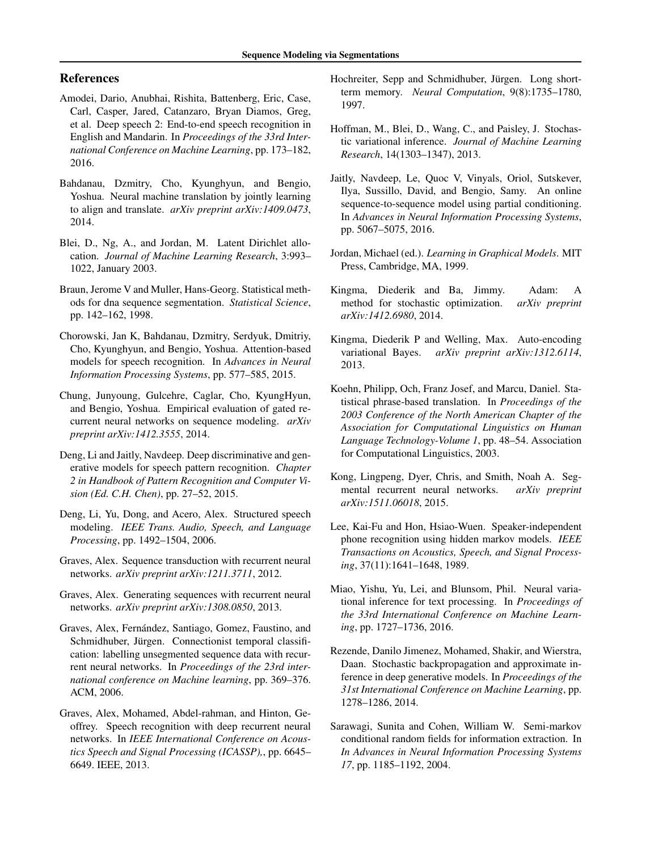# <span id="page-8-0"></span>References

- Amodei, Dario, Anubhai, Rishita, Battenberg, Eric, Case, Carl, Casper, Jared, Catanzaro, Bryan Diamos, Greg, et al. Deep speech 2: End-to-end speech recognition in English and Mandarin. In *Proceedings of the 33rd International Conference on Machine Learning*, pp. 173–182, 2016.
- Bahdanau, Dzmitry, Cho, Kyunghyun, and Bengio, Yoshua. Neural machine translation by jointly learning to align and translate. *arXiv preprint arXiv:1409.0473*, 2014.
- Blei, D., Ng, A., and Jordan, M. Latent Dirichlet allocation. *Journal of Machine Learning Research*, 3:993– 1022, January 2003.
- Braun, Jerome V and Muller, Hans-Georg. Statistical methods for dna sequence segmentation. *Statistical Science*, pp. 142–162, 1998.
- Chorowski, Jan K, Bahdanau, Dzmitry, Serdyuk, Dmitriy, Cho, Kyunghyun, and Bengio, Yoshua. Attention-based models for speech recognition. In *Advances in Neural Information Processing Systems*, pp. 577–585, 2015.
- Chung, Junyoung, Gulcehre, Caglar, Cho, KyungHyun, and Bengio, Yoshua. Empirical evaluation of gated recurrent neural networks on sequence modeling. *arXiv preprint arXiv:1412.3555*, 2014.
- Deng, Li and Jaitly, Navdeep. Deep discriminative and generative models for speech pattern recognition. *Chapter 2 in Handbook of Pattern Recognition and Computer Vision (Ed. C.H. Chen)*, pp. 27–52, 2015.
- Deng, Li, Yu, Dong, and Acero, Alex. Structured speech modeling. *IEEE Trans. Audio, Speech, and Language Processing*, pp. 1492–1504, 2006.
- Graves, Alex. Sequence transduction with recurrent neural networks. *arXiv preprint arXiv:1211.3711*, 2012.
- Graves, Alex. Generating sequences with recurrent neural networks. *arXiv preprint arXiv:1308.0850*, 2013.
- Graves, Alex, Fernández, Santiago, Gomez, Faustino, and Schmidhuber, Jürgen. Connectionist temporal classification: labelling unsegmented sequence data with recurrent neural networks. In *Proceedings of the 23rd international conference on Machine learning*, pp. 369–376. ACM, 2006.
- Graves, Alex, Mohamed, Abdel-rahman, and Hinton, Geoffrey. Speech recognition with deep recurrent neural networks. In *IEEE International Conference on Acoustics Speech and Signal Processing (ICASSP),*, pp. 6645– 6649. IEEE, 2013.
- Hochreiter, Sepp and Schmidhuber, Jürgen. Long shortterm memory. *Neural Computation*, 9(8):1735–1780, 1997.
- Hoffman, M., Blei, D., Wang, C., and Paisley, J. Stochastic variational inference. *Journal of Machine Learning Research*, 14(1303–1347), 2013.
- Jaitly, Navdeep, Le, Quoc V, Vinyals, Oriol, Sutskever, Ilya, Sussillo, David, and Bengio, Samy. An online sequence-to-sequence model using partial conditioning. In *Advances in Neural Information Processing Systems*, pp. 5067–5075, 2016.
- Jordan, Michael (ed.). *Learning in Graphical Models*. MIT Press, Cambridge, MA, 1999.
- Kingma, Diederik and Ba, Jimmy. Adam: A method for stochastic optimization. *arXiv preprint arXiv:1412.6980*, 2014.
- Kingma, Diederik P and Welling, Max. Auto-encoding variational Bayes. *arXiv preprint arXiv:1312.6114*, 2013.
- Koehn, Philipp, Och, Franz Josef, and Marcu, Daniel. Statistical phrase-based translation. In *Proceedings of the 2003 Conference of the North American Chapter of the Association for Computational Linguistics on Human Language Technology-Volume 1*, pp. 48–54. Association for Computational Linguistics, 2003.
- Kong, Lingpeng, Dyer, Chris, and Smith, Noah A. Segmental recurrent neural networks. *arXiv preprint arXiv:1511.06018*, 2015.
- Lee, Kai-Fu and Hon, Hsiao-Wuen. Speaker-independent phone recognition using hidden markov models. *IEEE Transactions on Acoustics, Speech, and Signal Processing*, 37(11):1641–1648, 1989.
- Miao, Yishu, Yu, Lei, and Blunsom, Phil. Neural variational inference for text processing. In *Proceedings of the 33rd International Conference on Machine Learning*, pp. 1727–1736, 2016.
- Rezende, Danilo Jimenez, Mohamed, Shakir, and Wierstra, Daan. Stochastic backpropagation and approximate inference in deep generative models. In *Proceedings of the 31st International Conference on Machine Learning*, pp. 1278–1286, 2014.
- Sarawagi, Sunita and Cohen, William W. Semi-markov conditional random fields for information extraction. In *In Advances in Neural Information Processing Systems 17*, pp. 1185–1192, 2004.